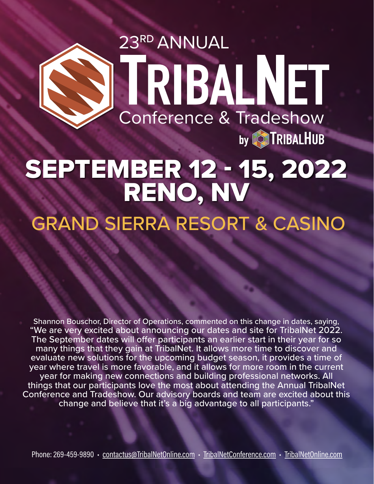## 23RD ANNUAL<br>TRIBALNET Conference & Tradeshow by **TRIBALHUB**

## SEPTEMBER 12 - 15, 2022 RENO, NV GRAND SIERRA RESORT & CASINO

Shannon Bouschor, Director of Operations, commented on this change in dates, saying, "We are very excited about announcing our dates and site for TribalNet 2022. The September dates will offer participants an earlier start in their year for so many things that they gain at TribalNet. It allows more time to discover and evaluate new solutions for the upcoming budget season, it provides a time of year where travel is more favorable, and it allows for more room in the current year for making new connections and building professional networks. All things that our participants love the most about attending the Annual TribalNet Conference and Tradeshow. Our advisory boards and team are excited about this change and believe that it's a big advantage to all participants."

Phone: 269-459-9890 • [contactus@TribalNetOnline.com](mailto:contactus@tribalnetonline.com) • [TribalNetConference.com](https://www.tribalnetconference.com/) • [TribalNetOnline.com](https://www.tribalhub.com/tribalnet/)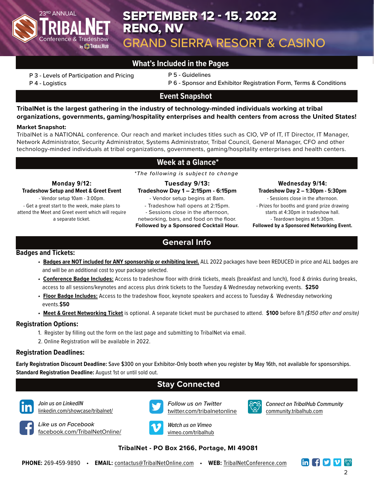

## 23RD ANNUAL **No. 2022 SEPTEMBER 12 - 15, 2022** RENO, NV GRAND SIERRA RESORT & CASINO

#### **What's Included in the Pages**

P 3 - Levels of Participation and Pricing

P 5 - Guidelines

P 4 - Logistics

P 6 - Sponsor and Exhibitor Registration Form, Terms & Conditions

#### **Event Snapshot**

**TribalNet is the largest gathering in the industry of technology-minded individuals working at tribal organizations, governments, gaming/hospitality enterprises and health centers from across the United States!**

#### **Market Snapshot:**

TribalNet is a NATIONAL conference. Our reach and market includes titles such as CIO, VP of IT, IT Director, IT Manager, Network Administrator, Security Administrator, Systems Administrator, Tribal Council, General Manager, CFO and other technology-minded individuals at tribal organizations, governments, gaming/hospitality enterprises and health centers.

#### **Week at a Glance\***

**Tuesday 9/13:**  *\*The following is subject to change*

**Monday 9/12: Tradeshow Setup and Meet & Greet Event** - Vendor setup 10am - 3:00pm.

- Get a great start to the week, make plans to attend the Meet and Greet event which will require a separate ticket.

**Tradeshow Day 1 – 2:15pm - 6:15pm** - Vendor setup begins at 8am. - Tradeshow hall opens at 2:15pm.

- Sessions close in the afternoon,

networking, bars, and food on the floor. **Followed by a Sponsored Cocktail Hour.**

**Wednesday 9/14: Tradeshow Day 2 – 1:30pm - 5:30pm**

- Sessions close in the afternoon. - Prizes for booths and grand prize drawing starts at 4:30pm in tradeshow hall. - Teardown begins at 5:30pm. **Followed by a Sponsored Networking Event.**

**General Info**

#### **Badges and Tickets:**

- *•* **Badges are NOT included for ANY sponsorship or exhibiting level.** ALL 2022 packages have been REDUCED in price and ALL badges are and will be an additional cost to your package selected.
- *•* **Conference Badge Includes:** Access to tradeshow floor with drink tickets, meals (breakfast and lunch), food & drinks during breaks, access to all sessions/keynotes and access plus drink tickets to the Tuesday & Wednesday networking events. **\$250**
- *•* **Floor Badge Includes:** Access to the tradeshow floor, keynote speakers and access to Tuesday & Wednesday networking events.**\$50**
- *•* **Meet & Greet Networking Ticket** is optional. A separate ticket must be purchased to attend. **\$100** before 8/1 *(\$150 after and onsite)*

#### **Registration Options:**

- 1. Register by filling out the form on the last page and submitting to TribalNet via email.
- 2. Online Registration will be available in 2022.

#### **Registration Deadlines:**

**Early Registration Discount Deadline:** Save \$300 on your Exhibitor-Only booth when you register by May 16th, not available for sponsorships. **Standard Registration Deadline:** August 1st or until sold out.

#### **Stay Connected**



*Join us on LinkedIN* [linkedin.com/showcase/tribalnet/](mailto:www.linkedin.com/showcase/tribalnet/?subject=)



*Like us on Facebook* [facebook.com/TribalNetOnline/](http://www.facebook.com/TribalNetOnline)



*Follow us on Twitter* [twitter.com/tribalnetonline](http://twitter.com/tribalnetonline)



*Connect on TribalHub Community* [community.tribalhub.com](https://community.tribalhub.com/)



[vimeo.com/tribalhub](http://www.vimeo.com/tribalhub)

#### **TribalNet - PO Box 2166, Portage, MI 49081**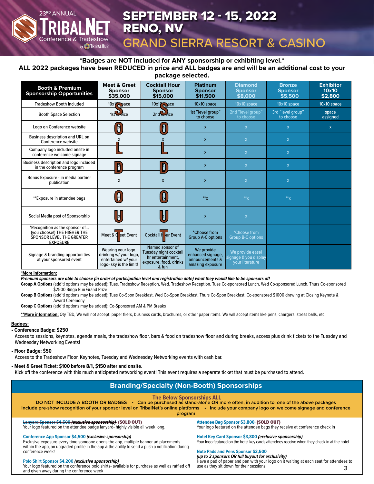## 23RD ANNUAL **No. 2022 SEPTEMBER 12 - 15, 2022** RENO, NV

## GRAND SIERRA RESORT & CASINO

#### **\*Badges are NOT included for ANY sponsorship or exhibiting level.\* ALL 2022 packages have been REDUCED in price and ALL badges are and will be an additional cost to your package selected.**

| <b>Booth &amp; Premium</b><br><b>Sponsorship Opportunities</b>                                                        | <b>Meet &amp; Greet</b><br><b>Sponsor</b><br>\$35,000                                          | <b>Cocktail Hour</b><br><b>Sponsor</b><br>\$15,000                                                | <b>Platinum</b><br><b>Sponsor</b><br>\$11,500                          | <b>Diamond</b><br><b>Sponsor</b><br>\$8,000                  | <b>Bronze</b><br><b>Sponsor</b><br>\$5,500 | <b>Exhibitor</b><br>10x10<br>\$2,800 |
|-----------------------------------------------------------------------------------------------------------------------|------------------------------------------------------------------------------------------------|---------------------------------------------------------------------------------------------------|------------------------------------------------------------------------|--------------------------------------------------------------|--------------------------------------------|--------------------------------------|
| <b>Tradeshow Booth Included</b>                                                                                       | $10x$ $\alpha$ ace                                                                             | $10x1$ $\odot$ ace                                                                                | 10x10 space                                                            | 10x10 space                                                  | 10x10 space                                | 10x10 space                          |
| <b>Booth Space Selection</b>                                                                                          | 1st endice                                                                                     | 2nd endice                                                                                        | 1st "level group"<br>to choose                                         | 2nd "level group"<br>to choose                               | 3rd "level group"<br>to choose             | space<br>assigned                    |
| Logo on Conference website                                                                                            | $\beta$                                                                                        |                                                                                                   | $\mathsf{x}$                                                           | $\mathsf{X}$                                                 | $\mathsf{x}$                               | $\mathsf{x}$                         |
| <b>Business description and URL on</b><br>Conference website                                                          | X                                                                                              |                                                                                                   | $\mathsf{x}$                                                           | $\mathsf{X}$                                                 | $\mathsf{x}$                               |                                      |
| Company logo included onsite in<br>conference welcome signage                                                         |                                                                                                |                                                                                                   | $\mathsf{x}$                                                           | $\mathsf{X}$                                                 | $\mathsf{x}$                               |                                      |
| Business description and logo included<br>in the conference program                                                   | D                                                                                              | D                                                                                                 | $\mathsf{x}$                                                           | $\mathsf{X}$                                                 | $\mathsf{x}$                               |                                      |
| Bonus Exposure - in media partner<br>publication                                                                      | X                                                                                              | $\mathsf{x}$                                                                                      | $\mathsf{x}$                                                           | $\mathsf{x}$                                                 | $\mathsf X$                                |                                      |
| **Exposure in attendee bags                                                                                           | $\blacksquare$                                                                                 | $\left[\begin{smallmatrix} 0 \end{smallmatrix}\right]$                                            | $*^*x$                                                                 | $*^*x$                                                       | $x^{**}$                                   |                                      |
| Social Media post of Sponsorship                                                                                      | $\mathbb{R}^{\mathbb{N}}$                                                                      | $\mathsf{L}$                                                                                      | $\mathbf{x}$                                                           | $\mathsf X$                                                  |                                            |                                      |
| *Recognition as the sponsor of<br>(you choose!) THE HIGHER THE<br><b>SPONSOR LEVEL THE GREATER</b><br><b>EXPOSURE</b> | Meet & $\overline{G}$ eet Event                                                                | Cocktail H ur Event                                                                               | *Choose from<br><b>Group A-C options</b>                               | <i>*</i> Choose from<br><b>Group B-C options</b>             |                                            |                                      |
| Signage & branding opportunities<br>at your sponsored event                                                           | Wearing your logo,<br>drinking w/ your logo,<br>entertained w/ your<br>logo- sky is the limit! | Named sonsor of<br>Tuesday night cocktail<br>hr entertainment,<br>exposure, food, drinks<br>& fun | We provide<br>enhanced signage,<br>announcements &<br>amazing exposure | We provide easel<br>signage & you display<br>vour literature |                                            |                                      |

#### **\*More information:**

#### *Premium sponsors are able to choose (in order of participation level and registration date) what they would like to be sponsors of!*

Group A Options (add'tl options may be added): Tues. Tradeshow Reception, Wed. Tradeshow Reception, Tues Co-sponsored Lunch, Wed Co-sponsored Lunch, Thurs Co-sponsored \$2500 Bingo Run Grand Prize

Group B Options (add'tl options may be added): Tues Co-Spon Breakfast, Wed Co-Spon Breakfast, Thurs Co-Spon Breakfast, Co-sponsored \$1000 drawing at Closing Keynote & Award Ceremony

**Group C Options** (add'tl options may be added): Co-Sponsored AM & PM Breaks

\*\*More information: Qty TBD, We will not accept: paper fliers, business cards, brochures, or other paper items. We will accept items like pens, chargers, stress balls, etc.

#### **Badges:**

#### **• Conference Badge: \$250**

 Access to sessions, keynotes, agenda meals, the tradeshow floor, bars & food on tradeshow floor and during breaks, access plus drink tickets to the Tuesday and Wednesday Networking Events!

#### **• Floor Badge: \$50**

Access to the Tradeshow Floor, Keynotes, Tuesday and Wednesday Networking events with cash bar.

#### **• Meet & Greet Ticket: \$100 before 8/1, \$150 after and onsite.**

Conference & Tradeshow<br>עש TRIBALHUB

Kick off the conference with this much anticipated networking event! This event requires a separate ticket that must be purchased to attend.

#### **Branding/Specialty (Non-Booth) Sponsorships**

#### **The Below Sponsorships ALL**

**DO NOT INCLUDE A BOOTH OR BADGES • Can be purchased as stand-alone OR more often, in addition to, one of the above packages Include pre-show recognition of your sponsor level on TribalNet's online platforms • Include your company logo on welcome signage and conference** 

#### **program**

#### **Lanyard Sponsor \$4,500** *(exclusive sponsorship)* (SOLD OUT)

Your logo featured on the attendee badge lanyard- highly visible all week long.

#### **Conference App Sponsor \$4,500** *(exclusive sponsorship)*

Exclusive exposure every time someone opens the app, multiple banner ad placements within the app, an upgraded profile in the app & the ability to send a push a notification during conference week!

#### **Polo Shirt Sponsor \$4,200** *(exclusive sponsorship)*

Your logo featured on the conference polo shirts- available for purchase as well as raffled off and given away during the conference week

**Attendee Bag Sponsor \$3,800** (SOLD OUT) Your logo featured on the attendee bags they receive at conference check in

**Hotel Key Card Sponsor \$3,800** *(exclusive sponsorship)* Your logo featured on the hotel key cards attendees receive when they check in at the hotel

#### **Note Pads and Pens Sponsor \$3,500**

3 *(up to 3 sponsors OR full buyout for exclusivity)* Have a pad of paper and pen with your logo on it waiting at each seat for attendees to use as they sit down for their sessions!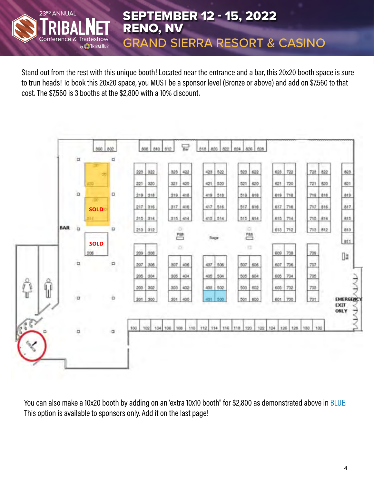

RENO, NV GRAND SIERRA RESORT & CASINO

Stand out from the rest with this unique booth! Located near the entrance and a bar, this 20x20 booth space is sure to trun heads! To book this 20x20 space, you MUST be a sponsor level (Bronze or above) and add on \$7,560 to that cost. The \$7,560 is 3 booths at the \$2,800 with a 10% discount.



You can also make a 10x20 booth by adding on an 'extra 10x10 booth" for \$2,800 as demonstrated above in BLUE. This option is available to sponsors only. Add it on the last page!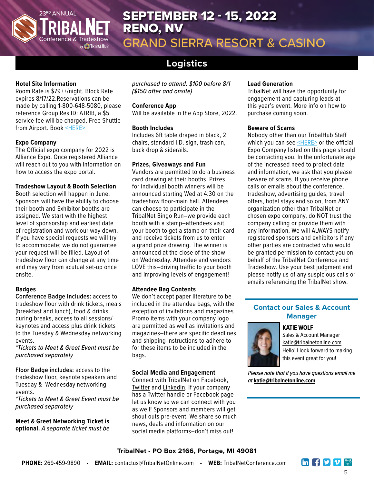

## 23RD ANNUAL **No. 2022 SEPTEMBER 12 - 15, 2022** RENO, NV

GRAND SIERRA RESORT & CASINO

## **Logistics**

#### **Hotel Site Information**

Room Rate is \$79++/night. Block Rate expires 8/17/22.Reservations can be made by calling 1-800-648-5080, please reference Group Res ID: ATRIB, a \$5 service fee will be charged. Free Shuttle from Airport. Book [<HERE>](https://www.tribalnetconference.com/venue/)

#### **Expo Company**

The Official expo company for 2022 is Alliance Expo. Once registered Alliance will reach out to you with information on how to access the expo portal.

#### **Tradeshow Layout & Booth Selection**

Booth selection will happen in June. Sponsors will have the ability to choose their booth and Exhibitor booths are assigned. We start with the highest level of sponsorship and earliest date of registration and work our way down. If you have special requests we will try to accommodate; we do not guarantee your request will be filled. Layout of tradeshow floor can change at any time and may vary from acutual set-up once onsite.

#### **Badges**

**Conference Badge Includes:** access to tradeshow floor with drink tickets, meals (breakfast and lunch), food & drinks during breaks, access to all sessions/ keynotes and access plus drink tickets to the Tuesday & Wednesday networking events.

*\*Tickets to Meet & Greet Event must be purchased separately*

**Floor Badge includes:** access to the tradeshow floor, keynote speakers and Tuesday & Wednesday networking events.

*\*Tickets to Meet & Greet Event must be purchased separately*

**Meet & Greet Networking Ticket is optional.** *A separate ticket must be*  *purchased to attend. \$100 before 8/1 (\$150 after and onsite)*

#### **Conference App**

Will be available in the App Store, 2022.

#### **Booth Includes**

Includes 6ft table draped in black, 2 chairs, standard I.D. sign, trash can, back drop & siderails.

#### **Prizes, Giveaways and Fun**

Vendors are permitted to do a business card drawing at their booths. Prizes for individual booth winners will be announced starting Wed at 4:30 on the tradeshow floor-main hall. Attendees can choose to participate in the TribalNet Bingo Run–we provide each booth with a stamp–attendees visit your booth to get a stamp on their card and receive tickets from us to enter a grand prize drawing. The winner is announced at the close of the show on Wednesday. Attendee and vendors LOVE this–driving traffic to your booth and improving levels of engagement!

#### **Attendee Bag Contents**

We don't accept paper literature to be included in the attendee bags, with the exception of invitations and magazines. Promo items with your company logo are permitted as well as invitations and magazines–there are specific deadlines and shipping instructions to adhere to for these items to be included in the bags.

#### **Social Media and Engagement**

Connect with TribalNet on [Facebook,](http://www.facebook.com/tribalnet
) [Twitter](http://twitter.com/tribalnetonline) and [LinkedIn](http://www.linkedin.com/company/tribalnet ). If your company has a Twitter handle or Facebook page let us know so we can connect with you as well! Sponsors and members will get shout outs pre-event. We share so much news, deals and information on our social media platforms–don't miss out!

#### **Lead Generation**

TribalNet will have the opportunity for engagement and capturing leads at this year's event. More info on how to purchase coming soon.

#### **Beware of Scams**

Nobody other than our TribalHub Staff which you can see [<HERE>](https://www.tribalhub.com/tribalnet/tribalnet-meet-the-team/) or the official Expo Company listed on this page should be contacting you. In the unfortunate age of the increased need to protect data and information, we ask that you please beware of scams. If you receive phone calls or emails about the conference, tradeshow, advertising guides, travel offers, hotel stays and so on, from ANY organization other than TribalNet or chosen expo company, do NOT trust the company calling or provide them with any information. We will ALWAYS notify registered sponsors and exhibitors if any other parties are contracted who would be granted permission to contact you on behalf of the TribalNet Conference and Tradeshow. Use your best judgment and please notify us of any suspicious calls or emails referencing the TribalNet show.

#### **Contact our Sales & Account Manager**

#### **KATIE WOLF**



Sales & Account Manager [katie@tribalnetonline.com](mailto:katie@tribalnetonline.com) Hello! I look forward to making this event great for you!

*Please note that if you have questions email me at* **[katie@tribalnetonline.com](mailto:katie@tribanetonline.com)**

#### **TribalNet - PO Box 2166, Portage, MI 49081**

**in FyVV**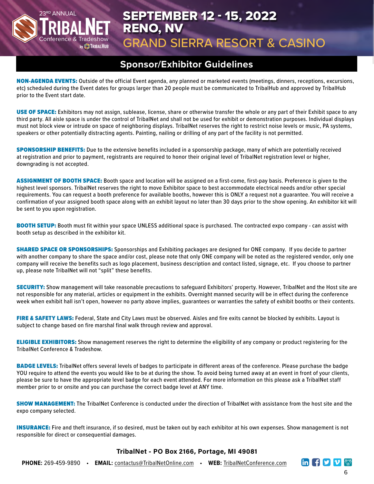

## 23RD ANNUAL **No. 2022 SEPTEMBER 12 - 15, 2022** RENO, NV

## GRAND SIERRA RESORT & CASINO

### **Sponsor/Exhibitor Guidelines**

NON-AGENDA EVENTS: Outside of the official Event agenda, any planned or marketed events (meetings, dinners, receptions, excursions, etc) scheduled during the Event dates for groups larger than 20 people must be communicated to TribalHub and approved by TribalHub prior to the Event start date.

USE OF SPACE: Exhibitors may not assign, sublease, license, share or otherwise transfer the whole or any part of their Exhibit space to any third party. All aisle space is under the control of TribalNet and shall not be used for exhibit or demonstration purposes. Individual displays must not block view or intrude on space of neighboring displays. TribalNet reserves the right to restrict noise levels or music, PA systems, speakers or other potentially distracting agents. Painting, nailing or drilling of any part of the facility is not permitted.

**SPONSORSHIP BENEFITS:** Due to the extensive benefits included in a sponsorship package, many of which are potentially received at registration and prior to payment, registrants are required to honor their original level of TribalNet registration level or higher, downgrading is not accepted.

ASSIGNMENT OF BOOTH SPACE: Booth space and location will be assigned on a first-come, first-pay basis. Preference is given to the highest level sponsors. TribalNet reserves the right to move Exhibitor space to best accommodate electrical needs and/or other special requirements. You can request a booth preference for available booths, however this is ONLY a request not a guarantee. You will receive a confirmation of your assigned booth space along with an [exhibit layout n](https://www.tribalnetonline.com/tnet2017/materials/Show_Floor_TribalNet_2017.pdf)o later than 30 days prior to the show opening. An exhibitor kit will be sent to you upon registration.

BOOTH SETUP: Booth must fit within your space UNLESS additional space is purchased. The contracted expo company - can assist with booth setup as described in the exhibitor kit.

**SHARED SPACE OR SPONSORSHIPS:** Sponsorships and Exhibiting packages are designed for ONE company. If you decide to partner with another company to share the space and/or cost, please note that only ONE company will be noted as the registered vendor, only one company will receive the benefits such as logo placement, business description and contact listed, signage, etc. If you choose to partner up, please note TribalNet will not "split" these benefits.

SECURITY: Show management will take reasonable precautions to safeguard Exhibitors' property. However, TribalNet and the Host site are not responsible for any material, articles or equipment in the exhibits. Overnight manned security will be in effect during the conference week when exhibit hall isn't open, however no party above implies, guarantees or warranties the safety of exhibit booths or their contents.

FIRE & SAFETY LAWS: Federal, State and City Laws must be observed. Aisles and fire exits cannot be blocked by exhibits. Layout is subject to change based on fire marshal final walk through review and approval.

**ELIGIBLE EXHIBITORS:** Show management reserves the right to determine the eligibility of any company or product registering for the TribalNet Conference & Tradeshow.

BADGE LEVELS: TribalNet offers several levels of badges to participate in different areas of the conference. Please purchase the badge YOU require to attend the events you would like to be at during the show. To avoid being turned away at an event in front of your clients, please be sure to have the appropriate level badge for each event attended. For more information on this please ask a TribalNet staff member prior to or onsite and you can purchase the correct badge level at ANY time.

SHOW MANAGEMENT: The TribalNet Conference is conducted under the direction of TribalNet with assistance from the host site and the expo company selected.

INSURANCE: Fire and theft insurance, if so desired, must be taken out by each exhibitor at his own expenses. Show management is not responsible for direct or consequential damages.

#### **TribalNet - PO Box 2166, Portage, MI 49081**

**PHONE:** 269-459-9890 • **EMAIL:** [contactus@TribalNetOnline.com](mailto:contactus@tribalnetonline.com) • **WEB:** [TribalNetConference.com](https://www.tribalnetconference.com/)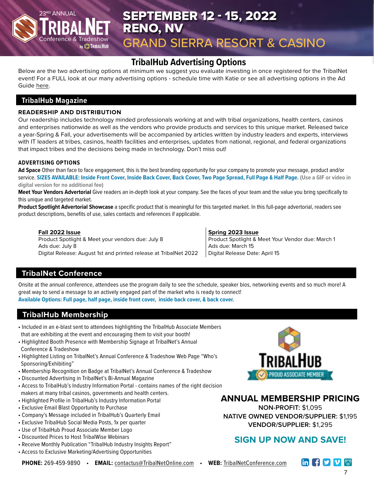# Conference & Tradeshow

## 23RD ANNUAL **No. 2022 SEPTEMBER 12 - 15, 2022** RENO, NV GRAND SIERRA RESORT & CASINO

## **TribalHub Advertising Options**

Below are the two advertising options at minimum we suggest you evaluate investing in once registered for the TribalNet event! For a FULL look at our many advertising options - schedule time with Katie or see all advertising options in the Ad Guide [here.](https://www.tribalhub.com/tribalnet/magazine/
)

#### **TribalHub Magazine**

#### **READERSHIP AND DISTRIBUTION**

Our readership includes technology minded professionals working at and with tribal organizations, health centers, casinos and enterprises nationwide as well as the vendors who provide products and services to this unique market. Released twice a year-Spring & Fall, your advertisements will be accompanied by articles written by industry leaders and experts, interviews with IT leaders at tribes, casinos, health facilities and enterprises, updates from national, regional, and federal organizations that impact tribes and the decisions being made in technology. Don't miss out!

#### **ADVERTISING OPTIONS**

**Ad Space** Other than face to face engagement, this is the best branding opportunity for your company to promote your message, product and/or service. **SIZES AVAILABLE: Inside Front Cover, Inside Back Cover, Back Cover, Two Page Spread, Full Page & Half Page. (Use a GIF or video in digital version for no additional fee)**

**Meet Your Vendors Advertorial** Give readers an in-depth look at your company. See the faces of your team and the value you bring specifically to this unique and targeted market.

**Product Spotlight Advertorial Showcase** a specific product that is meaningful for this targeted market. In this full-page advertorial, readers see product descriptions, benefits of use, sales contacts and references if applicable.

#### **Fall 2022 Issue**

Product Spotlight & Meet your vendors due: July 8 Ads due: July 8 Digital Release: August 1st and printed release at TribalNet 2022

#### **Spring 2023 Issue** Product Spotlight & Meet Your Vendor due: March 1 Ads due: March 15 Digital Release Date: April 15

#### **TribalNet Conference**

Onsite at the annual conference, attendees use the program daily to see the schedule, speaker bios, networking events and so much more! A great way to send a message to an actively engaged part of the market who is ready to connect! **Available Options: Full page, half page, inside front cover, inside back cover, & back cover.**

#### **TribalHub Membership**

- Included in an e-blast sent to attendees highlighting the TribalHub Associate Members that are exhibiting at the event and encouraging them to visit your booth!
- Highlighted Booth Presence with Membership Signage at TribalNet's Annual Conference & Tradeshow
- Highlighted Listing on TribalNet's Annual Conference & Tradeshow Web Page "Who's Sponsoring/Exhibiting"
- Membership Recognition on Badge at TribalNet's Annual Conference & Tradeshow
- Discounted Advertising in TribalNet's Bi-Annual Magazine
- Access to TribalHub's Industry Information Portal contains names of the right decision makers at many tribal casinos, governments and health centers.
- Highlighted Profile in TribalHub's Industry Information Portal
- Exclusive Email Blast Opportunity to Purchase
- Company's Message included in TribalHub's Quarterly Email
- Exclusive TribalHub Social Media Posts, 1x per quarter
- Use of TribalHub Proud Associate Member Logo
- Discounted Prices to Host TribalWise Webinars
- Receive Monthly Publication "TribalHub Industry Insights Report"
- Access to Exclusive Marketing/Advertising Opportunities



#### **ANNUAL MEMBERSHIP PRICING**

**NON-PROFIT:** \$1,095 **NATIVE OWNED VENDOR/SUPPLIER:** \$1,195 **VENDOR/SUPPLIER:** \$1,295

#### **SIGN UP NOW AND SAVE!**

**PHONE:** 269-459-9890 • **EMAIL:** [contactus@TribalNetOnline.com](mailto:contactus@tribalnetonline.com) • **WEB:** [TribalNetConference.com](https://www.tribalnetconference.com/)